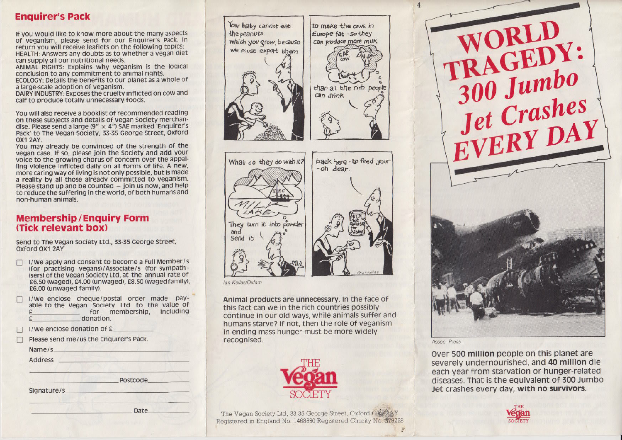## Enquirer's Pack

If you would like to know more about the many aspects of veganism, please send for our Enquirer's Pack. In return you will receive leaflets on the following topics: HEALTH: Answers any doubts as to whether <sup>a</sup> vegan diet can supply all our nutritional needs.

ANIMAL RIGHTS: Explains why veganism is the logical conclusion to any commitment to animal rights. ECOLOGY: Details the benefits to our planet as <sup>a</sup> whole of <sup>a</sup> large-scale adoption of veganism.

DAIRY INDUSTRY: Exposes the cruelty inflicted on cow and calf to produce totally unnecessary foods.

You will also receive <sup>a</sup> booklist of recommended reading on these subjects and details of Vegan Society merchandise. Please send a large ( $9'' \times 4''$ ) SAE marked 'Enquirer's Pack' to The Vegan Society, 33-35 George Street, Oxford OX1 2AY.

You may already be convinced of the strength of the vegan case. If so, please join the Society and add your voice to the growing chorus of concern over the appalling violence inflicted daily on all forms of life. <sup>A</sup> new, more caring way of living is not only possible, but is made <sup>a</sup> reality by all those already committed to veganism. Please stand up and be counted — join us now, and help to reduce the suffering in the world, of both humans and non-human animals.

## Membership/Enquiry Form (Tick relevant box)

Send to The Vegan Society Ltd., 33-35 George Street, Oxford OX1 2AY

- $\Box$  I/We apply and consent to become a Full Member/s (for practising vegans)/Associate/s (for sympath isers) of the Vegan Society Ltd, at the annual rate of £6.50 (waged), £4.00 (unwaged), £8.50 (waged family), £6.00 (unwaged family).
- $\Box$  I/We enclose cheque/postal order made payable to the vegan Society Ltd to the value Of for membership, including donation.
- $\Box$  I/We enclose donation of  $E$
- $\Box$  Please send me/us the Enquirer's Pack.

| Name/s         |          |
|----------------|----------|
| <b>Address</b> |          |
|                |          |
|                | Postcode |
| Signature/s    |          |
|                |          |
|                | Jar      |



Ian Kel/as/Oxfam

Animal products are unnecessary. In the face of this fact can we in the rich countries possibly continue in our old ways, while animals suffer and humans starve? If not, then the role of veganism in ending mass hunger must be more widely recognised.



Registered in England No. 1468880 Registered Charity No. 279228 The Vegan Society Ltd, 33-35 George Street, Oxford QXX-2AY



Over 500 million people on this planet are severely undernourished, and <sup>40</sup> million die each year from starvation or hunger-related diseases. That is the equivalent of 300 Jumbo Jet crashes every day, with no survivors.